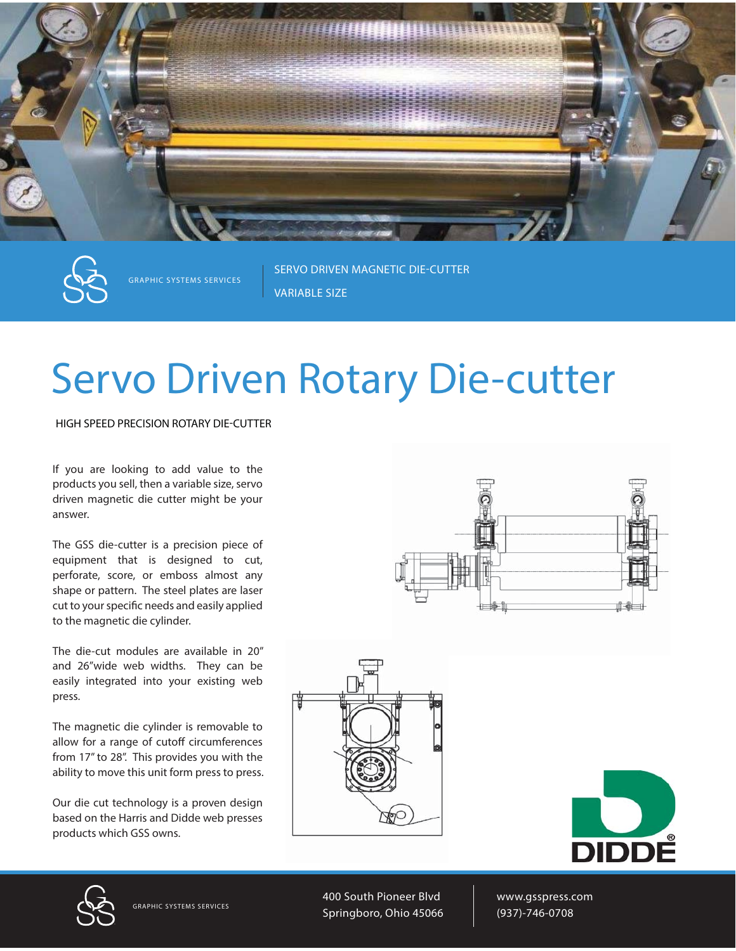

**GRAPHIC SYSTEMS SERVICES**

**SERVO DRIVEN MAGNETIC DIE-CUTTER VARIABLE SIZE**

## Servo Driven Rotary Die-cutter

**HIGH SPEED PRECISION ROTARY DIE-CUTTER**

If you are looking to add value to the products you sell, then a variable size, servo driven magnetic die cutter might be your answer.

The GSS die-cutter is a precision piece of equipment that is designed to cut, perforate, score, or emboss almost any shape or pattern. The steel plates are laser cut to your specific needs and easily applied to the magnetic die cylinder.

The die-cut modules are available in 20" and 26"wide web widths. They can be easily integrated into your existing web press.

The magnetic die cylinder is removable to allow for a range of cutoff circumferences from 17" to 28". This provides you with the ability to move this unit form press to press.

Our die cut technology is a proven design based on the Harris and Didde web presses products which GSS owns.









**GRAPHIC SYSTEMS SERVICES**

400 South Pioneer Blvd Springboro, Ohio 45066 www.gsspress.com (937)-746-0708